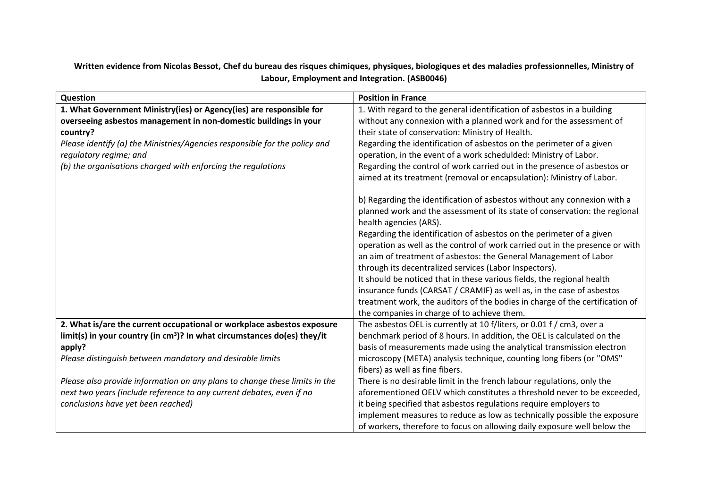| Question                                                                                                                                                                                                                                                                                                                    | <b>Position in France</b>                                                                                                                                                                                                                                                                                                                                                                                                                                                                                                                                                                                                                                                                                                                                                                                                                                                                                                                                                                                                                                                                                                                                                                                       |
|-----------------------------------------------------------------------------------------------------------------------------------------------------------------------------------------------------------------------------------------------------------------------------------------------------------------------------|-----------------------------------------------------------------------------------------------------------------------------------------------------------------------------------------------------------------------------------------------------------------------------------------------------------------------------------------------------------------------------------------------------------------------------------------------------------------------------------------------------------------------------------------------------------------------------------------------------------------------------------------------------------------------------------------------------------------------------------------------------------------------------------------------------------------------------------------------------------------------------------------------------------------------------------------------------------------------------------------------------------------------------------------------------------------------------------------------------------------------------------------------------------------------------------------------------------------|
| 1. What Government Ministry(ies) or Agency(ies) are responsible for<br>overseeing asbestos management in non-domestic buildings in your<br>country?<br>Please identify (a) the Ministries/Agencies responsible for the policy and<br>regulatory regime; and<br>(b) the organisations charged with enforcing the regulations | 1. With regard to the general identification of asbestos in a building<br>without any connexion with a planned work and for the assessment of<br>their state of conservation: Ministry of Health.<br>Regarding the identification of asbestos on the perimeter of a given<br>operation, in the event of a work schedulded: Ministry of Labor.<br>Regarding the control of work carried out in the presence of asbestos or<br>aimed at its treatment (removal or encapsulation): Ministry of Labor.<br>b) Regarding the identification of asbestos without any connexion with a<br>planned work and the assessment of its state of conservation: the regional<br>health agencies (ARS).<br>Regarding the identification of asbestos on the perimeter of a given<br>operation as well as the control of work carried out in the presence or with<br>an aim of treatment of asbestos: the General Management of Labor<br>through its decentralized services (Labor Inspectors).<br>It should be noticed that in these various fields, the regional health<br>insurance funds (CARSAT / CRAMIF) as well as, in the case of asbestos<br>treatment work, the auditors of the bodies in charge of the certification of |
|                                                                                                                                                                                                                                                                                                                             | the companies in charge of to achieve them.                                                                                                                                                                                                                                                                                                                                                                                                                                                                                                                                                                                                                                                                                                                                                                                                                                                                                                                                                                                                                                                                                                                                                                     |
| 2. What is/are the current occupational or workplace asbestos exposure<br>limit(s) in your country (in $cm3$ )? In what circumstances do(es) they/it<br>apply?<br>Please distinguish between mandatory and desirable limits                                                                                                 | The asbestos OEL is currently at 10 f/liters, or 0.01 f / cm3, over a<br>benchmark period of 8 hours. In addition, the OEL is calculated on the<br>basis of measurements made using the analytical transmission electron<br>microscopy (META) analysis technique, counting long fibers (or "OMS"                                                                                                                                                                                                                                                                                                                                                                                                                                                                                                                                                                                                                                                                                                                                                                                                                                                                                                                |
| Please also provide information on any plans to change these limits in the<br>next two years (include reference to any current debates, even if no<br>conclusions have yet been reached)                                                                                                                                    | fibers) as well as fine fibers.<br>There is no desirable limit in the french labour regulations, only the<br>aforementioned OELV which constitutes a threshold never to be exceeded,<br>it being specified that asbestos regulations require employers to<br>implement measures to reduce as low as technically possible the exposure<br>of workers, therefore to focus on allowing daily exposure well below the                                                                                                                                                                                                                                                                                                                                                                                                                                                                                                                                                                                                                                                                                                                                                                                               |

Written evidence from Nicolas Bessot, Chef du bureau des risques chimiques, physiques, biologiques et des maladies professionnelles, Ministry of **Labour, Employment and Integration. (ASB0046)**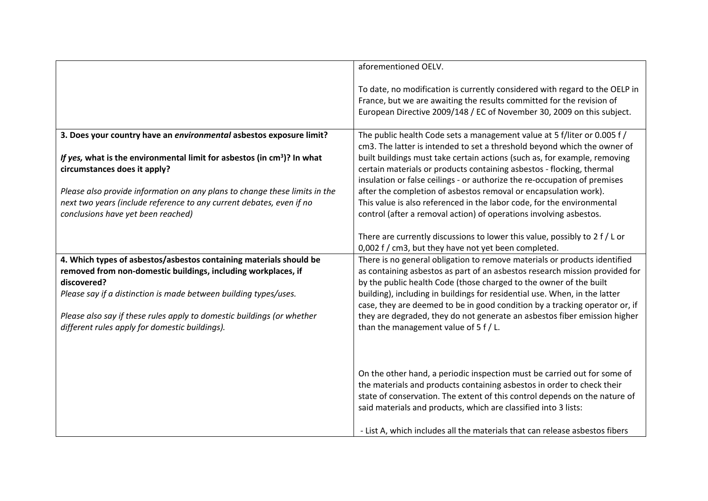|                                                                                                                                                                                                                        | aforementioned OELV.                                                                                                                                                                                                                                                                                                                                                                        |
|------------------------------------------------------------------------------------------------------------------------------------------------------------------------------------------------------------------------|---------------------------------------------------------------------------------------------------------------------------------------------------------------------------------------------------------------------------------------------------------------------------------------------------------------------------------------------------------------------------------------------|
|                                                                                                                                                                                                                        | To date, no modification is currently considered with regard to the OELP in<br>France, but we are awaiting the results committed for the revision of<br>European Directive 2009/148 / EC of November 30, 2009 on this subject.                                                                                                                                                              |
| 3. Does your country have an environmental asbestos exposure limit?<br>If yes, what is the environmental limit for asbestos (in cm <sup>3</sup> )? In what<br>circumstances does it apply?                             | The public health Code sets a management value at 5 f/liter or 0.005 f/<br>cm3. The latter is intended to set a threshold beyond which the owner of<br>built buildings must take certain actions (such as, for example, removing<br>certain materials or products containing asbestos - flocking, thermal<br>insulation or false ceilings - or authorize the re-occupation of premises      |
| Please also provide information on any plans to change these limits in the<br>next two years (include reference to any current debates, even if no<br>conclusions have yet been reached)                               | after the completion of asbestos removal or encapsulation work).<br>This value is also referenced in the labor code, for the environmental<br>control (after a removal action) of operations involving asbestos.                                                                                                                                                                            |
|                                                                                                                                                                                                                        | There are currently discussions to lower this value, possibly to 2 f / L or<br>0,002 f / cm3, but they have not yet been completed.                                                                                                                                                                                                                                                         |
| 4. Which types of asbestos/asbestos containing materials should be<br>removed from non-domestic buildings, including workplaces, if<br>discovered?<br>Please say if a distinction is made between building types/uses. | There is no general obligation to remove materials or products identified<br>as containing asbestos as part of an asbestos research mission provided for<br>by the public health Code (those charged to the owner of the built<br>building), including in buildings for residential use. When, in the latter<br>case, they are deemed to be in good condition by a tracking operator or, if |
| Please also say if these rules apply to domestic buildings (or whether<br>different rules apply for domestic buildings).                                                                                               | they are degraded, they do not generate an asbestos fiber emission higher<br>than the management value of $5f/L$ .                                                                                                                                                                                                                                                                          |
|                                                                                                                                                                                                                        | On the other hand, a periodic inspection must be carried out for some of<br>the materials and products containing asbestos in order to check their<br>state of conservation. The extent of this control depends on the nature of<br>said materials and products, which are classified into 3 lists:                                                                                         |
|                                                                                                                                                                                                                        | - List A, which includes all the materials that can release asbestos fibers                                                                                                                                                                                                                                                                                                                 |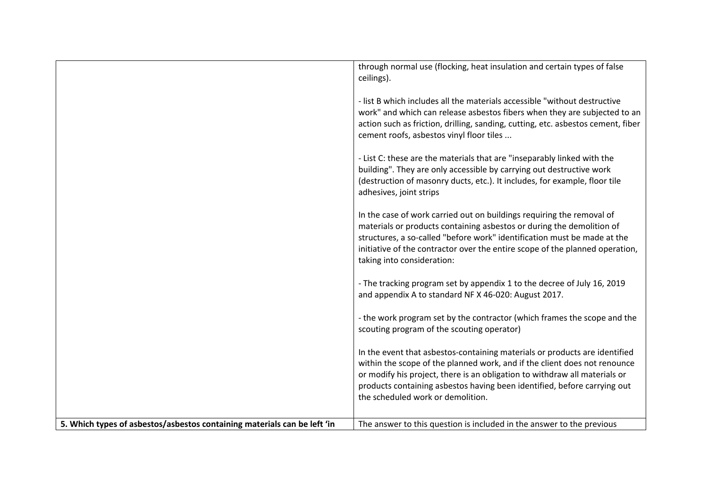|                                                                          | through normal use (flocking, heat insulation and certain types of false<br>ceilings).                                                                                                                                                                                                                                                                 |
|--------------------------------------------------------------------------|--------------------------------------------------------------------------------------------------------------------------------------------------------------------------------------------------------------------------------------------------------------------------------------------------------------------------------------------------------|
|                                                                          | - list B which includes all the materials accessible "without destructive<br>work" and which can release asbestos fibers when they are subjected to an<br>action such as friction, drilling, sanding, cutting, etc. asbestos cement, fiber<br>cement roofs, asbestos vinyl floor tiles                                                                 |
|                                                                          | - List C: these are the materials that are "inseparably linked with the<br>building". They are only accessible by carrying out destructive work<br>(destruction of masonry ducts, etc.). It includes, for example, floor tile<br>adhesives, joint strips                                                                                               |
|                                                                          | In the case of work carried out on buildings requiring the removal of<br>materials or products containing asbestos or during the demolition of<br>structures, a so-called "before work" identification must be made at the<br>initiative of the contractor over the entire scope of the planned operation,<br>taking into consideration:               |
|                                                                          | - The tracking program set by appendix 1 to the decree of July 16, 2019<br>and appendix A to standard NF X 46-020: August 2017.                                                                                                                                                                                                                        |
|                                                                          | - the work program set by the contractor (which frames the scope and the<br>scouting program of the scouting operator)                                                                                                                                                                                                                                 |
|                                                                          | In the event that asbestos-containing materials or products are identified<br>within the scope of the planned work, and if the client does not renounce<br>or modify his project, there is an obligation to withdraw all materials or<br>products containing asbestos having been identified, before carrying out<br>the scheduled work or demolition. |
| 5. Which types of asbestos/asbestos containing materials can be left 'in | The answer to this question is included in the answer to the previous                                                                                                                                                                                                                                                                                  |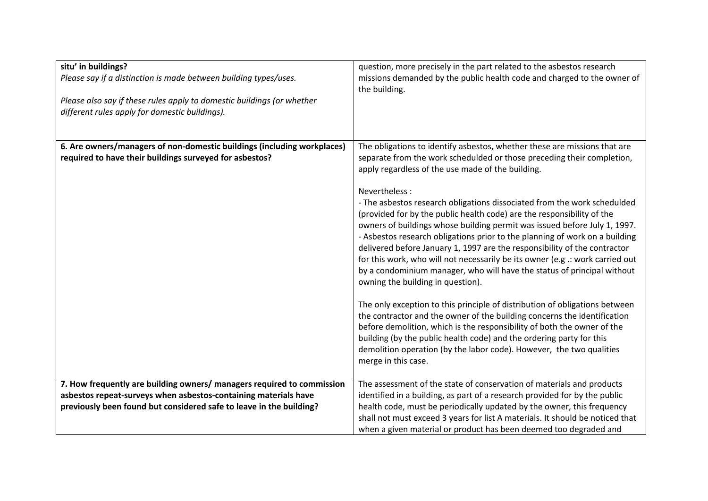| situ' in buildings?<br>Please say if a distinction is made between building types/uses.<br>Please also say if these rules apply to domestic buildings (or whether<br>different rules apply for domestic buildings). | question, more precisely in the part related to the asbestos research<br>missions demanded by the public health code and charged to the owner of<br>the building.                                                                                                                                                                                                                                                                                                                                                                                                                                                                                                                                                                                                                                                                                                                                                                                                                                                                                                                                                                                                                                                                      |
|---------------------------------------------------------------------------------------------------------------------------------------------------------------------------------------------------------------------|----------------------------------------------------------------------------------------------------------------------------------------------------------------------------------------------------------------------------------------------------------------------------------------------------------------------------------------------------------------------------------------------------------------------------------------------------------------------------------------------------------------------------------------------------------------------------------------------------------------------------------------------------------------------------------------------------------------------------------------------------------------------------------------------------------------------------------------------------------------------------------------------------------------------------------------------------------------------------------------------------------------------------------------------------------------------------------------------------------------------------------------------------------------------------------------------------------------------------------------|
| 6. Are owners/managers of non-domestic buildings (including workplaces)<br>required to have their buildings surveyed for asbestos?                                                                                  | The obligations to identify asbestos, whether these are missions that are<br>separate from the work schedulded or those preceding their completion,<br>apply regardless of the use made of the building.<br>Nevertheless:<br>- The asbestos research obligations dissociated from the work schedulded<br>(provided for by the public health code) are the responsibility of the<br>owners of buildings whose building permit was issued before July 1, 1997.<br>- Asbestos research obligations prior to the planning of work on a building<br>delivered before January 1, 1997 are the responsibility of the contractor<br>for this work, who will not necessarily be its owner (e.g .: work carried out<br>by a condominium manager, who will have the status of principal without<br>owning the building in question).<br>The only exception to this principle of distribution of obligations between<br>the contractor and the owner of the building concerns the identification<br>before demolition, which is the responsibility of both the owner of the<br>building (by the public health code) and the ordering party for this<br>demolition operation (by the labor code). However, the two qualities<br>merge in this case. |
| 7. How frequently are building owners/ managers required to commission<br>asbestos repeat-surveys when asbestos-containing materials have<br>previously been found but considered safe to leave in the building?    | The assessment of the state of conservation of materials and products<br>identified in a building, as part of a research provided for by the public<br>health code, must be periodically updated by the owner, this frequency<br>shall not must exceed 3 years for list A materials. It should be noticed that<br>when a given material or product has been deemed too degraded and                                                                                                                                                                                                                                                                                                                                                                                                                                                                                                                                                                                                                                                                                                                                                                                                                                                    |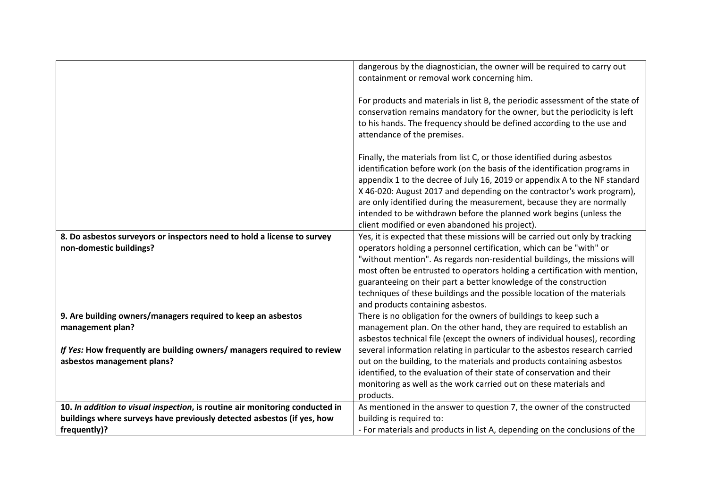|                                                                              | dangerous by the diagnostician, the owner will be required to carry out<br>containment or removal work concerning him.                                                                                                                                                                                                                                                                                                                                                                                           |
|------------------------------------------------------------------------------|------------------------------------------------------------------------------------------------------------------------------------------------------------------------------------------------------------------------------------------------------------------------------------------------------------------------------------------------------------------------------------------------------------------------------------------------------------------------------------------------------------------|
|                                                                              | For products and materials in list B, the periodic assessment of the state of<br>conservation remains mandatory for the owner, but the periodicity is left<br>to his hands. The frequency should be defined according to the use and<br>attendance of the premises.                                                                                                                                                                                                                                              |
|                                                                              | Finally, the materials from list C, or those identified during asbestos<br>identification before work (on the basis of the identification programs in<br>appendix 1 to the decree of July 16, 2019 or appendix A to the NF standard<br>X 46-020: August 2017 and depending on the contractor's work program),<br>are only identified during the measurement, because they are normally<br>intended to be withdrawn before the planned work begins (unless the<br>client modified or even abandoned his project). |
| 8. Do asbestos surveyors or inspectors need to hold a license to survey      | Yes, it is expected that these missions will be carried out only by tracking                                                                                                                                                                                                                                                                                                                                                                                                                                     |
| non-domestic buildings?                                                      | operators holding a personnel certification, which can be "with" or                                                                                                                                                                                                                                                                                                                                                                                                                                              |
|                                                                              | "without mention". As regards non-residential buildings, the missions will                                                                                                                                                                                                                                                                                                                                                                                                                                       |
|                                                                              | most often be entrusted to operators holding a certification with mention,                                                                                                                                                                                                                                                                                                                                                                                                                                       |
|                                                                              | guaranteeing on their part a better knowledge of the construction                                                                                                                                                                                                                                                                                                                                                                                                                                                |
|                                                                              | techniques of these buildings and the possible location of the materials<br>and products containing asbestos.                                                                                                                                                                                                                                                                                                                                                                                                    |
| 9. Are building owners/managers required to keep an asbestos                 | There is no obligation for the owners of buildings to keep such a                                                                                                                                                                                                                                                                                                                                                                                                                                                |
| management plan?                                                             | management plan. On the other hand, they are required to establish an                                                                                                                                                                                                                                                                                                                                                                                                                                            |
|                                                                              | asbestos technical file (except the owners of individual houses), recording                                                                                                                                                                                                                                                                                                                                                                                                                                      |
| If Yes: How frequently are building owners/ managers required to review      | several information relating in particular to the asbestos research carried                                                                                                                                                                                                                                                                                                                                                                                                                                      |
| asbestos management plans?                                                   | out on the building, to the materials and products containing asbestos                                                                                                                                                                                                                                                                                                                                                                                                                                           |
|                                                                              | identified, to the evaluation of their state of conservation and their                                                                                                                                                                                                                                                                                                                                                                                                                                           |
|                                                                              | monitoring as well as the work carried out on these materials and                                                                                                                                                                                                                                                                                                                                                                                                                                                |
|                                                                              | products.                                                                                                                                                                                                                                                                                                                                                                                                                                                                                                        |
| 10. In addition to visual inspection, is routine air monitoring conducted in | As mentioned in the answer to question 7, the owner of the constructed                                                                                                                                                                                                                                                                                                                                                                                                                                           |
| buildings where surveys have previously detected asbestos (if yes, how       | building is required to:                                                                                                                                                                                                                                                                                                                                                                                                                                                                                         |
| frequently)?                                                                 | - For materials and products in list A, depending on the conclusions of the                                                                                                                                                                                                                                                                                                                                                                                                                                      |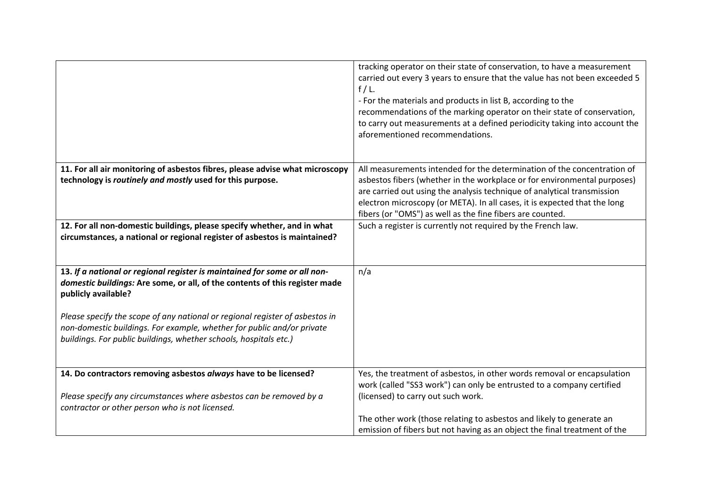|                                                                                                                                                                                                                             | tracking operator on their state of conservation, to have a measurement<br>carried out every 3 years to ensure that the value has not been exceeded 5<br>$f/L$ .<br>- For the materials and products in list B, according to the<br>recommendations of the marking operator on their state of conservation,<br>to carry out measurements at a defined periodicity taking into account the<br>aforementioned recommendations. |
|-----------------------------------------------------------------------------------------------------------------------------------------------------------------------------------------------------------------------------|------------------------------------------------------------------------------------------------------------------------------------------------------------------------------------------------------------------------------------------------------------------------------------------------------------------------------------------------------------------------------------------------------------------------------|
| 11. For all air monitoring of asbestos fibres, please advise what microscopy                                                                                                                                                | All measurements intended for the determination of the concentration of                                                                                                                                                                                                                                                                                                                                                      |
| technology is routinely and mostly used for this purpose.                                                                                                                                                                   | asbestos fibers (whether in the workplace or for environmental purposes)                                                                                                                                                                                                                                                                                                                                                     |
|                                                                                                                                                                                                                             | are carried out using the analysis technique of analytical transmission<br>electron microscopy (or META). In all cases, it is expected that the long                                                                                                                                                                                                                                                                         |
|                                                                                                                                                                                                                             | fibers (or "OMS") as well as the fine fibers are counted.                                                                                                                                                                                                                                                                                                                                                                    |
| 12. For all non-domestic buildings, please specify whether, and in what<br>circumstances, a national or regional register of asbestos is maintained?                                                                        | Such a register is currently not required by the French law.                                                                                                                                                                                                                                                                                                                                                                 |
| 13. If a national or regional register is maintained for some or all non-                                                                                                                                                   | n/a                                                                                                                                                                                                                                                                                                                                                                                                                          |
| domestic buildings: Are some, or all, of the contents of this register made<br>publicly available?                                                                                                                          |                                                                                                                                                                                                                                                                                                                                                                                                                              |
| Please specify the scope of any national or regional register of asbestos in<br>non-domestic buildings. For example, whether for public and/or private<br>buildings. For public buildings, whether schools, hospitals etc.) |                                                                                                                                                                                                                                                                                                                                                                                                                              |
| 14. Do contractors removing asbestos always have to be licensed?                                                                                                                                                            | Yes, the treatment of asbestos, in other words removal or encapsulation                                                                                                                                                                                                                                                                                                                                                      |
|                                                                                                                                                                                                                             | work (called "SS3 work") can only be entrusted to a company certified                                                                                                                                                                                                                                                                                                                                                        |
| Please specify any circumstances where asbestos can be removed by a<br>contractor or other person who is not licensed.                                                                                                      | (licensed) to carry out such work.                                                                                                                                                                                                                                                                                                                                                                                           |
|                                                                                                                                                                                                                             | The other work (those relating to asbestos and likely to generate an                                                                                                                                                                                                                                                                                                                                                         |
|                                                                                                                                                                                                                             | emission of fibers but not having as an object the final treatment of the                                                                                                                                                                                                                                                                                                                                                    |